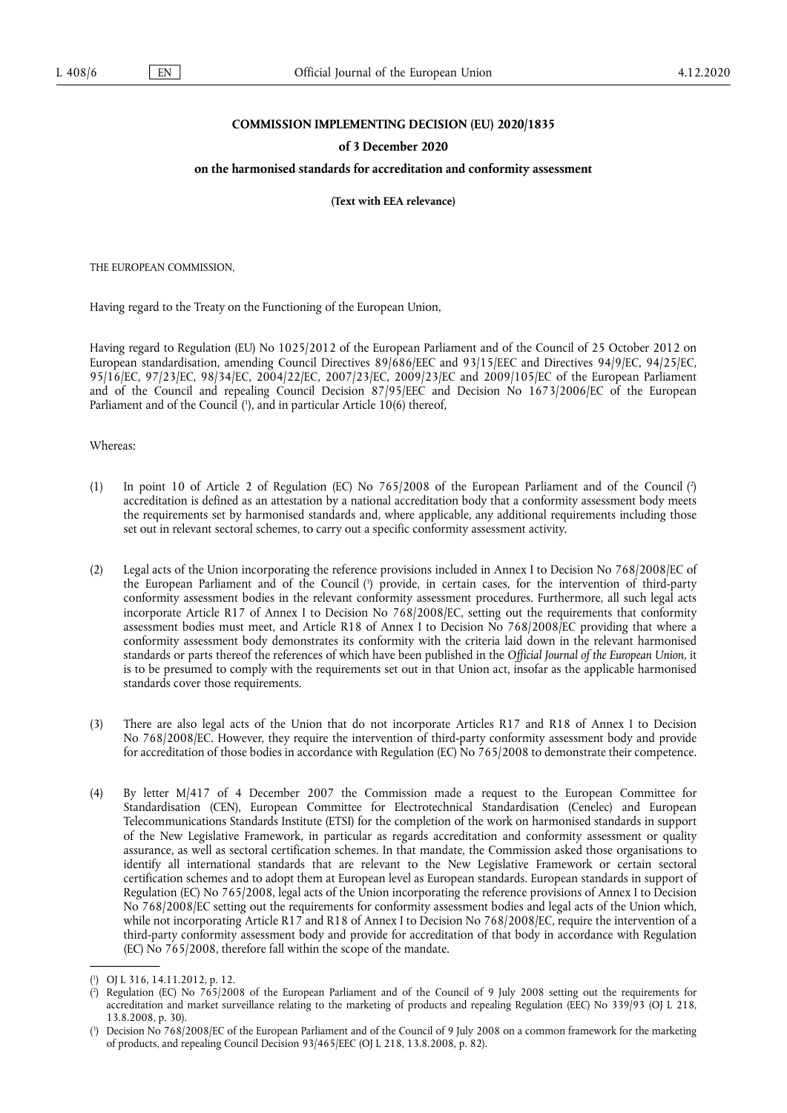### **COMMISSION IMPLEMENTING DECISION (EU) 2020/1835**

#### **of 3 December 2020**

#### **on the harmonised standards for accreditation and conformity assessment**

**(Text with EEA relevance)** 

THE EUROPEAN COMMISSION,

Having regard to the Treaty on the Functioning of the European Union,

Having regard to Regulation (EU) No 1025/2012 of the European Parliament and of the Council of 25 October 2012 on European standardisation, amending Council Directives 89/686/EEC and 93/15/EEC and Directives 94/9/EC, 94/25/EC, 95/16/EC, 97/23/EC, 98/34/EC, 2004/22/EC, 2007/23/EC, 2009/23/EC and 2009/105/EC of the European Parliament and of the Council and repealing Council Decision 87/95/EEC and Decision No 1673/2006/EC of the European Parliament and of the Council [\(](#page-0-0)<sup>1</sup>), and in particular Article 10(6) thereof,

<span id="page-0-3"></span>Whereas:

- <span id="page-0-4"></span>(1) In point 10 of Article 2 of Regulation (EC) No 765/2008 of the European Parliament and of the Council [\(](#page-0-1) 2 ) accreditation is defined as an attestation by a national accreditation body that a conformity assessment body meets the requirements set by harmonised standards and, where applicable, any additional requirements including those set out in relevant sectoral schemes, to carry out a specific conformity assessment activity.
- <span id="page-0-5"></span>(2) Legal acts of the Union incorporating the reference provisions included in Annex I to Decision No 768/2008/EC of the European Parliament and of the Council [\(](#page-0-2) 3 ) provide, in certain cases, for the intervention of third-party conformity assessment bodies in the relevant conformity assessment procedures. Furthermore, all such legal acts incorporate Article R17 of Annex I to Decision No 768/2008/EC, setting out the requirements that conformity assessment bodies must meet, and Article R18 of Annex I to Decision No 768/2008/EC providing that where a conformity assessment body demonstrates its conformity with the criteria laid down in the relevant harmonised standards or parts thereof the references of which have been published in the *Official Journal of the European Union,* it is to be presumed to comply with the requirements set out in that Union act, insofar as the applicable harmonised standards cover those requirements.
- (3) There are also legal acts of the Union that do not incorporate Articles R17 and R18 of Annex I to Decision No 768/2008/EC. However, they require the intervention of third-party conformity assessment body and provide for accreditation of those bodies in accordance with Regulation (EC) No 765/2008 to demonstrate their competence.
- (4) By letter M/417 of 4 December 2007 the Commission made a request to the European Committee for Standardisation (CEN), European Committee for Electrotechnical Standardisation (Cenelec) and European Telecommunications Standards Institute (ETSI) for the completion of the work on harmonised standards in support of the New Legislative Framework, in particular as regards accreditation and conformity assessment or quality assurance, as well as sectoral certification schemes. In that mandate, the Commission asked those organisations to identify all international standards that are relevant to the New Legislative Framework or certain sectoral certification schemes and to adopt them at European level as European standards. European standards in support of Regulation (EC) No 765/2008, legal acts of the Union incorporating the reference provisions of Annex I to Decision No 768/2008/EC setting out the requirements for conformity assessment bodies and legal acts of the Union which, while not incorporating Article R17 and R18 of Annex I to Decision No 768/2008/EC, require the intervention of a third-party conformity assessment body and provide for accreditation of that body in accordance with Regulation (EC) No 765/2008, therefore fall within the scope of the mandate.

<span id="page-0-0"></span>[<sup>\(</sup>](#page-0-3) 1 ) OJ L 316, 14.11.2012, p. 12.

<span id="page-0-1"></span>[<sup>\(</sup>](#page-0-4) 2 ) Regulation (EC) No 765/2008 of the European Parliament and of the Council of 9 July 2008 setting out the requirements for accreditation and market surveillance relating to the marketing of products and repealing Regulation (EEC) No 339/93 (OJ L 218, 13.8.2008, p. 30).

<span id="page-0-2"></span>[<sup>\(</sup>](#page-0-5) 3 ) Decision No 768/2008/EC of the European Parliament and of the Council of 9 July 2008 on a common framework for the marketing of products, and repealing Council Decision 93/465/EEC (OJ L 218, 13.8.2008, p. 82).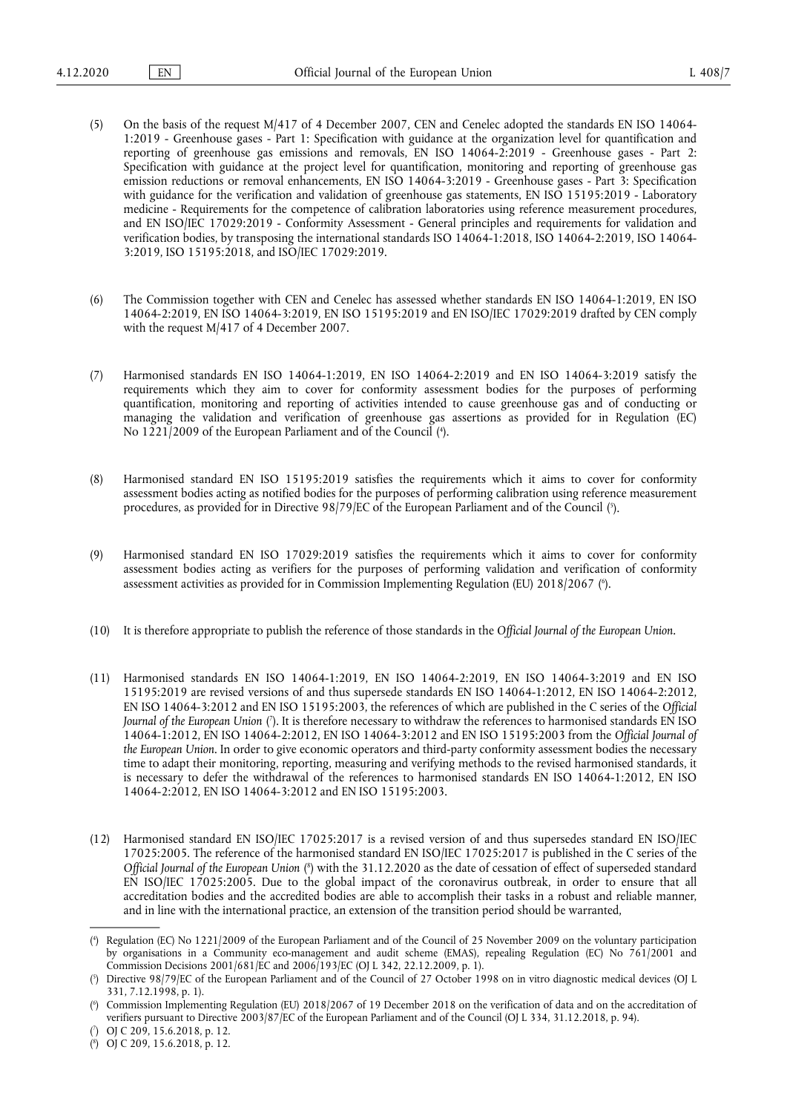- (5) On the basis of the request M/417 of 4 December 2007, CEN and Cenelec adopted the standards EN ISO 14064- 1:2019 - Greenhouse gases - Part 1: Specification with guidance at the organization level for quantification and reporting of greenhouse gas emissions and removals, EN ISO 14064-2:2019 - Greenhouse gases - Part 2: Specification with guidance at the project level for quantification, monitoring and reporting of greenhouse gas emission reductions or removal enhancements, EN ISO 14064-3:2019 - Greenhouse gases - Part 3: Specification with guidance for the verification and validation of greenhouse gas statements, EN ISO 15195:2019 - Laboratory medicine - Requirements for the competence of calibration laboratories using reference measurement procedures, and EN ISO/IEC 17029:2019 - Conformity Assessment - General principles and requirements for validation and verification bodies, by transposing the international standards ISO 14064-1:2018, ISO 14064-2:2019, ISO 14064- 3:2019, ISO 15195:2018, and ISO/IEC 17029:2019.
- (6) The Commission together with CEN and Cenelec has assessed whether standards EN ISO 14064-1:2019, EN ISO 14064-2:2019, EN ISO 14064-3:2019, EN ISO 15195:2019 and EN ISO/IEC 17029:2019 drafted by CEN comply with the request M/417 of 4 December 2007.
- (7) Harmonised standards EN ISO 14064-1:2019, EN ISO 14064-2:2019 and EN ISO 14064-3:2019 satisfy the requirements which they aim to cover for conformity assessment bodies for the purposes of performing quantification, monitoring and reporting of activities intended to cause greenhouse gas and of conducting or managing the validation and verification of greenhouse gas assertions as provided for in Regulation (EC) No 1221/2009 of the European Parliament and of the Council ( 4 [\).](#page-1-0)
- <span id="page-1-6"></span><span id="page-1-5"></span>(8) Harmonised standard EN ISO 15195:2019 satisfies the requirements which it aims to cover for conformity assessment bodies acting as notified bodies for the purposes of performing calibration using reference measurement procedures, as provided for in Directive 98/79/EC of the European Parliament and of the Council ( 5 [\).](#page-1-1)
- <span id="page-1-7"></span>(9) Harmonised standard EN ISO 17029:2019 satisfies the requirements which it aims to cover for conformity assessment bodies acting as verifiers for the purposes of performing validation and verification of conformity assessment activities as provided for in Commission Implementing Regulation (EU) 2018/2067 [\(](#page-1-2) 6 ).
- (10) It is therefore appropriate to publish the reference of those standards in the *Official Journal of the European Union.*
- <span id="page-1-8"></span>(11) Harmonised standards EN ISO 14064-1:2019, EN ISO 14064-2:2019, EN ISO 14064-3:2019 and EN ISO 15195:2019 are revised versions of and thus supersede standards EN ISO 14064-1:2012, EN ISO 14064-2:2012, EN ISO 14064-3:2012 and EN ISO 15195:2003, the references of which are published in the C series of the *Official Journal of the European Union* [\(](#page-1-3) 7 ). It is therefore necessary to withdraw the references to harmonised standards EN ISO 14064-1:2012, EN ISO 14064-2:2012, EN ISO 14064-3:2012 and EN ISO 15195:2003 from the *Official Journal of the European Union*. In order to give economic operators and third-party conformity assessment bodies the necessary time to adapt their monitoring, reporting, measuring and verifying methods to the revised harmonised standards, it is necessary to defer the withdrawal of the references to harmonised standards EN ISO 14064-1:2012, EN ISO 14064-2:2012, EN ISO 14064-3:2012 and EN ISO 15195:2003.
- <span id="page-1-9"></span>(12) Harmonised standard EN ISO/IEC 17025:2017 is a revised version of and thus supersedes standard EN ISO/IEC 17025:2005. The reference of the harmonised standard EN ISO/IEC 17025:2017 is published in the C series of the *Official Journal of the European Union* (\*[\)](#page-1-4) with the 31.12.2020 as the date of cessation of effect of superseded standard EN ISO/IEC 17025:2005. Due to the global impact of the coronavirus outbreak, in order to ensure that all accreditation bodies and the accredited bodies are able to accomplish their tasks in a robust and reliable manner, and in line with the international practice, an extension of the transition period should be warranted,

<span id="page-1-0"></span>[<sup>\(</sup>](#page-1-5) 4 ) Regulation (EC) No 1221/2009 of the European Parliament and of the Council of 25 November 2009 on the voluntary participation by organisations in a Community eco-management and audit scheme (EMAS), repealing Regulation (EC) No 761/2001 and Commission Decisions 2001/681/EC and 2006/193/EC (OJ L 342, 22.12.2009, p. 1).

<span id="page-1-1"></span>[<sup>\(</sup>](#page-1-6) 5 ) Directive 98/79/EC of the European Parliament and of the Council of 27 October 1998 on in vitro diagnostic medical devices (OJ L 331, 7.12.1998, p. 1).

<span id="page-1-2"></span>[<sup>\(</sup>](#page-1-7) 6 ) Commission Implementing Regulation (EU) 2018/2067 of 19 December 2018 on the verification of data and on the accreditation of verifiers pursuant to Directive 2003/87/EC of the European Parliament and of the Council (OJ L 334, 31.12.2018, p. 94).

<span id="page-1-3"></span>[<sup>\(</sup>](#page-1-8) 7 ) OJ C 209, 15.6.2018, p. 12.

<span id="page-1-4"></span><sup>(</sup> 8 [\)](#page-1-9) OJ C 209, 15.6.2018, p. 12.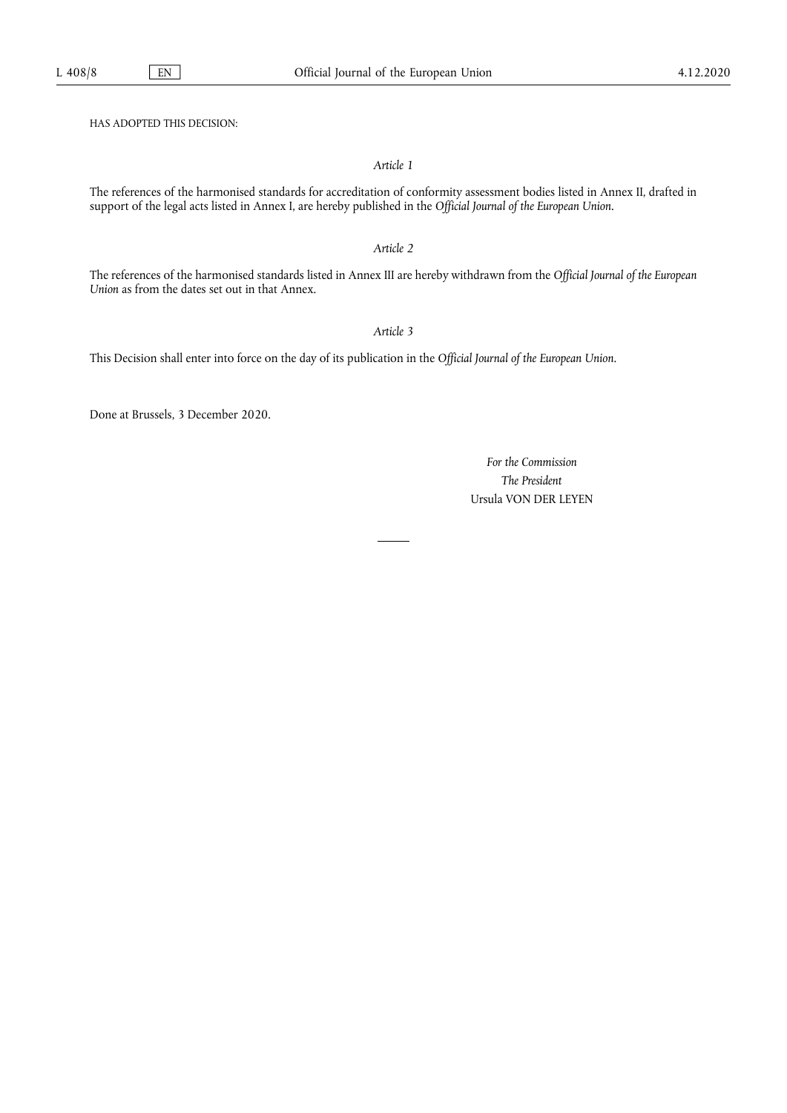HAS ADOPTED THIS DECISION:

### *Article 1*

The references of the harmonised standards for accreditation of conformity assessment bodies listed in Annex II, drafted in support of the legal acts listed in Annex I, are hereby published in the *Official Journal of the European Union*.

## *Article 2*

The references of the harmonised standards listed in Annex III are hereby withdrawn from the *Official Journal of the European Union* as from the dates set out in that Annex.

# *Article 3*

This Decision shall enter into force on the day of its publication in the *Official Journal of the European Union*.

Done at Brussels, 3 December 2020.

*For the Commission The President*  Ursula VON DER LEYEN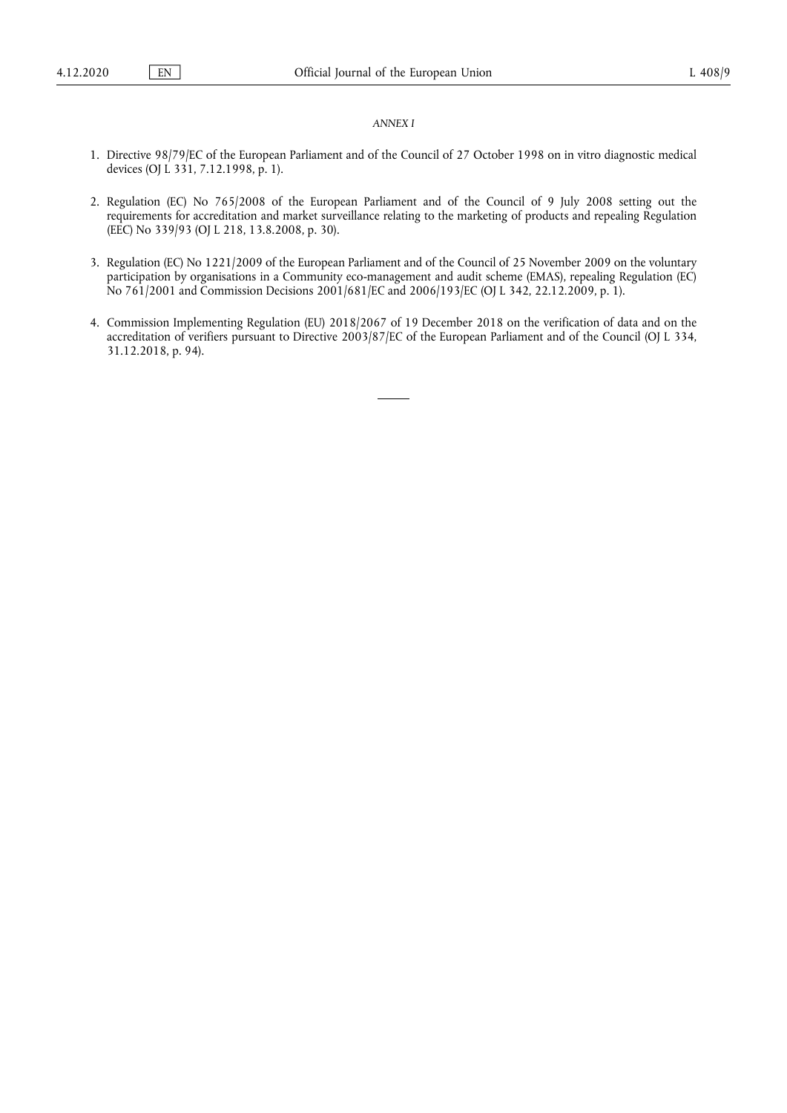### *ANNEX I*

- 1. Directive 98/79/EC of the European Parliament and of the Council of 27 October 1998 on in vitro diagnostic medical devices (OJ L 331, 7.12.1998, p. 1).
- 2. Regulation (EC) No 765/2008 of the European Parliament and of the Council of 9 July 2008 setting out the requirements for accreditation and market surveillance relating to the marketing of products and repealing Regulation (EEC) No 339/93 (OJ L 218, 13.8.2008, p. 30).
- 3. Regulation (EC) No 1221/2009 of the European Parliament and of the Council of 25 November 2009 on the voluntary participation by organisations in a Community eco-management and audit scheme (EMAS), repealing Regulation (EC) No 761/2001 and Commission Decisions 2001/681/EC and 2006/193/EC (OJ L 342, 22.12.2009, p. 1).
- 4. Commission Implementing Regulation (EU) 2018/2067 of 19 December 2018 on the verification of data and on the accreditation of verifiers pursuant to Directive 2003/87/EC of the European Parliament and of the Council (OJ L 334, 31.12.2018, p. 94).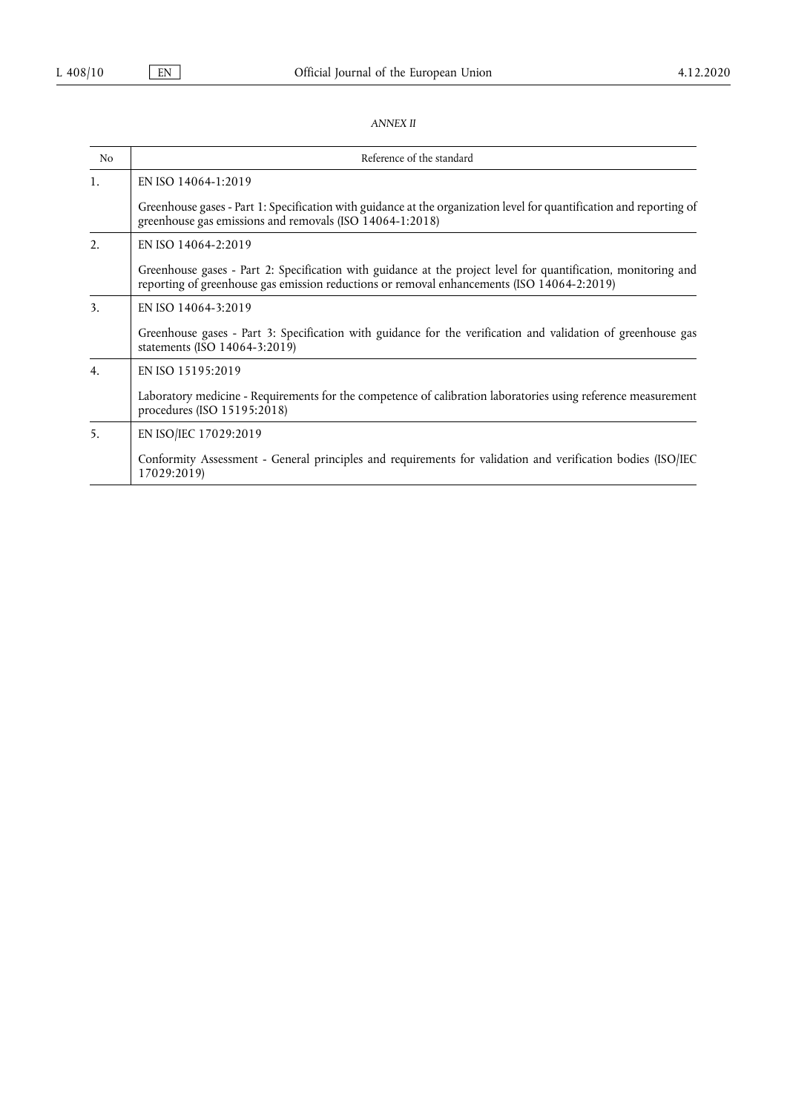# *ANNEX II*

| N <sub>o</sub> | Reference of the standard                                                                                                                                                                                    |
|----------------|--------------------------------------------------------------------------------------------------------------------------------------------------------------------------------------------------------------|
| 1.             | EN ISO 14064-1:2019                                                                                                                                                                                          |
|                | Greenhouse gases - Part 1: Specification with guidance at the organization level for quantification and reporting of<br>greenhouse gas emissions and removals (ISO 14064-1:2018)                             |
| 2 <sub>1</sub> | EN ISO 14064-2:2019                                                                                                                                                                                          |
|                | Greenhouse gases - Part 2: Specification with guidance at the project level for quantification, monitoring and<br>reporting of greenhouse gas emission reductions or removal enhancements (ISO 14064-2:2019) |
| 3 <sub>1</sub> | EN ISO 14064-3:2019                                                                                                                                                                                          |
|                | Greenhouse gases - Part 3: Specification with guidance for the verification and validation of greenhouse gas<br>statements (ISO 14064-3:2019)                                                                |
| 4.             | EN ISO 15195:2019                                                                                                                                                                                            |
|                | Laboratory medicine - Requirements for the competence of calibration laboratories using reference measurement<br>procedures (ISO 15195:2018)                                                                 |
| 5.             | EN ISO/IEC 17029:2019                                                                                                                                                                                        |
|                | Conformity Assessment - General principles and requirements for validation and verification bodies (ISO/IEC<br>17029:2019)                                                                                   |